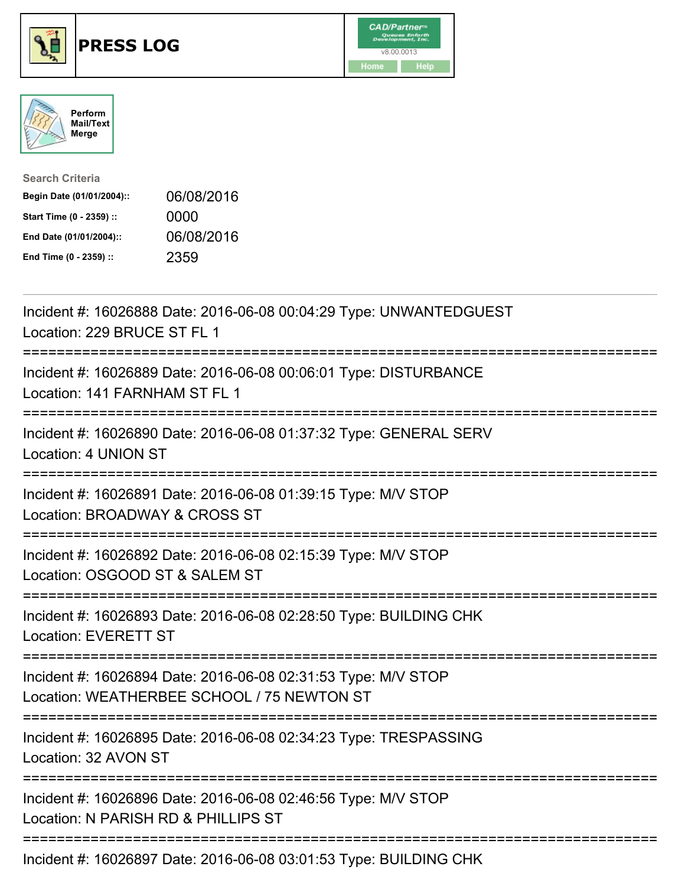





| <b>Search Criteria</b>    |            |
|---------------------------|------------|
| Begin Date (01/01/2004):: | 06/08/2016 |
| Start Time (0 - 2359) ::  | 0000       |
| End Date (01/01/2004)::   | 06/08/2016 |
| End Time (0 - 2359) ::    | 2359       |

| Incident #: 16026888 Date: 2016-06-08 00:04:29 Type: UNWANTEDGUEST<br>Location: 229 BRUCE ST FL 1             |
|---------------------------------------------------------------------------------------------------------------|
| Incident #: 16026889 Date: 2016-06-08 00:06:01 Type: DISTURBANCE<br>Location: 141 FARNHAM ST FL 1             |
| Incident #: 16026890 Date: 2016-06-08 01:37:32 Type: GENERAL SERV<br>Location: 4 UNION ST                     |
| Incident #: 16026891 Date: 2016-06-08 01:39:15 Type: M/V STOP<br>Location: BROADWAY & CROSS ST                |
| Incident #: 16026892 Date: 2016-06-08 02:15:39 Type: M/V STOP<br>Location: OSGOOD ST & SALEM ST<br>---------- |
| Incident #: 16026893 Date: 2016-06-08 02:28:50 Type: BUILDING CHK<br><b>Location: EVERETT ST</b>              |
| Incident #: 16026894 Date: 2016-06-08 02:31:53 Type: M/V STOP<br>Location: WEATHERBEE SCHOOL / 75 NEWTON ST   |
| Incident #: 16026895 Date: 2016-06-08 02:34:23 Type: TRESPASSING<br>Location: 32 AVON ST                      |
| Incident #: 16026896 Date: 2016-06-08 02:46:56 Type: M/V STOP<br>Location: N PARISH RD & PHILLIPS ST          |
| Incident #: 16026897 Date: 2016-06-08 03:01:53 Type: BUILDING CHK                                             |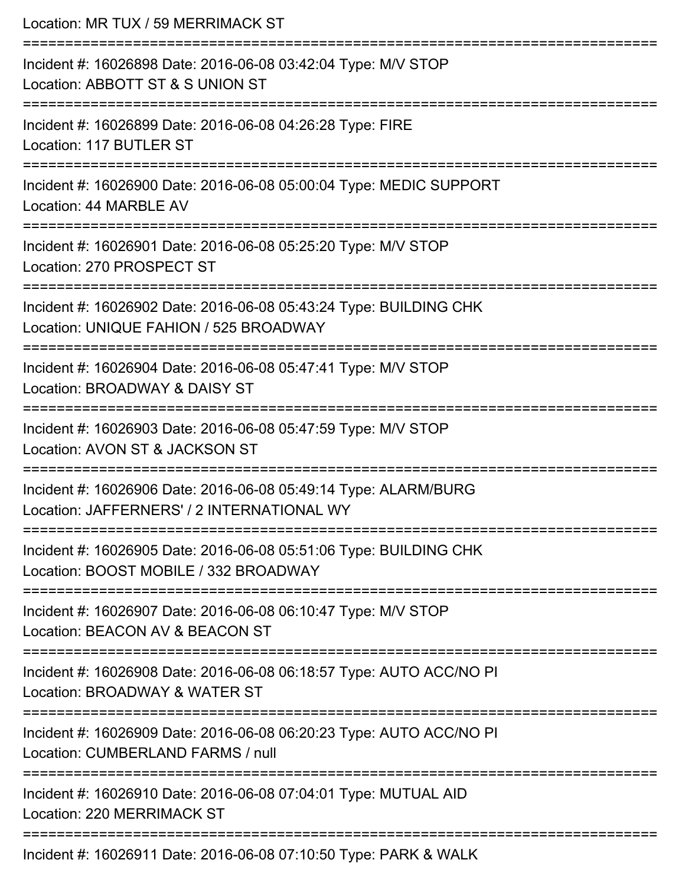| Location: MR TUX / 59 MERRIMACK ST                                                                                                         |
|--------------------------------------------------------------------------------------------------------------------------------------------|
| Incident #: 16026898 Date: 2016-06-08 03:42:04 Type: M/V STOP<br>Location: ABBOTT ST & S UNION ST                                          |
| Incident #: 16026899 Date: 2016-06-08 04:26:28 Type: FIRE<br>Location: 117 BUTLER ST                                                       |
| Incident #: 16026900 Date: 2016-06-08 05:00:04 Type: MEDIC SUPPORT<br>Location: 44 MARBLE AV                                               |
| Incident #: 16026901 Date: 2016-06-08 05:25:20 Type: M/V STOP<br>Location: 270 PROSPECT ST                                                 |
| Incident #: 16026902 Date: 2016-06-08 05:43:24 Type: BUILDING CHK<br>Location: UNIQUE FAHION / 525 BROADWAY<br>:========================== |
| Incident #: 16026904 Date: 2016-06-08 05:47:41 Type: M/V STOP<br>Location: BROADWAY & DAISY ST                                             |
| Incident #: 16026903 Date: 2016-06-08 05:47:59 Type: M/V STOP<br>Location: AVON ST & JACKSON ST                                            |
| Incident #: 16026906 Date: 2016-06-08 05:49:14 Type: ALARM/BURG<br>Location: JAFFERNERS' / 2 INTERNATIONAL WY                              |
| Incident #: 16026905 Date: 2016-06-08 05:51:06 Type: BUILDING CHK<br>Location: BOOST MOBILE / 332 BROADWAY                                 |
| Incident #: 16026907 Date: 2016-06-08 06:10:47 Type: M/V STOP<br>Location: BEACON AV & BEACON ST                                           |
| Incident #: 16026908 Date: 2016-06-08 06:18:57 Type: AUTO ACC/NO PI<br>Location: BROADWAY & WATER ST                                       |
| =======================<br>Incident #: 16026909 Date: 2016-06-08 06:20:23 Type: AUTO ACC/NO PI<br>Location: CUMBERLAND FARMS / null        |
| Incident #: 16026910 Date: 2016-06-08 07:04:01 Type: MUTUAL AID<br>Location: 220 MERRIMACK ST                                              |
| Incident #: 16026911 Date: 2016-06-08 07:10:50 Type: PARK & WALK                                                                           |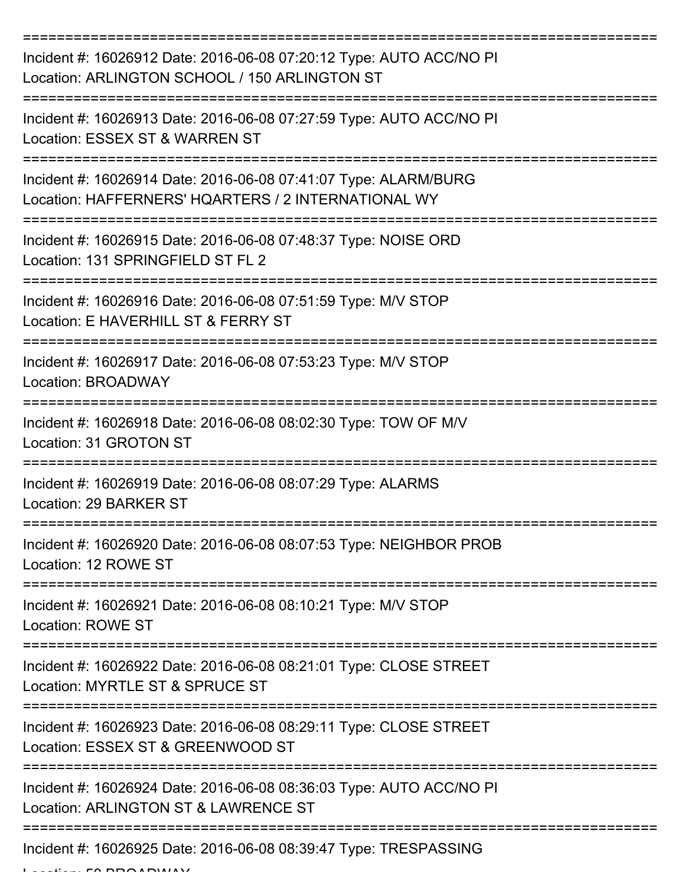| Incident #: 16026912 Date: 2016-06-08 07:20:12 Type: AUTO ACC/NO PI<br>Location: ARLINGTON SCHOOL / 150 ARLINGTON ST   |
|------------------------------------------------------------------------------------------------------------------------|
| Incident #: 16026913 Date: 2016-06-08 07:27:59 Type: AUTO ACC/NO PI<br>Location: ESSEX ST & WARREN ST                  |
| Incident #: 16026914 Date: 2016-06-08 07:41:07 Type: ALARM/BURG<br>Location: HAFFERNERS' HQARTERS / 2 INTERNATIONAL WY |
| Incident #: 16026915 Date: 2016-06-08 07:48:37 Type: NOISE ORD<br>Location: 131 SPRINGFIELD ST FL 2                    |
| Incident #: 16026916 Date: 2016-06-08 07:51:59 Type: M/V STOP<br>Location: E HAVERHILL ST & FERRY ST                   |
| Incident #: 16026917 Date: 2016-06-08 07:53:23 Type: M/V STOP<br>Location: BROADWAY                                    |
| Incident #: 16026918 Date: 2016-06-08 08:02:30 Type: TOW OF M/V<br>Location: 31 GROTON ST                              |
| Incident #: 16026919 Date: 2016-06-08 08:07:29 Type: ALARMS<br>Location: 29 BARKER ST                                  |
| Incident #: 16026920 Date: 2016-06-08 08:07:53 Type: NEIGHBOR PROB<br>Location: 12 ROWE ST                             |
| Incident #: 16026921 Date: 2016-06-08 08:10:21 Type: M/V STOP<br><b>Location: ROWE ST</b>                              |
| Incident #: 16026922 Date: 2016-06-08 08:21:01 Type: CLOSE STREET<br>Location: MYRTLE ST & SPRUCE ST                   |
| Incident #: 16026923 Date: 2016-06-08 08:29:11 Type: CLOSE STREET<br>Location: ESSEX ST & GREENWOOD ST                 |
| Incident #: 16026924 Date: 2016-06-08 08:36:03 Type: AUTO ACC/NO PI<br>Location: ARLINGTON ST & LAWRENCE ST            |
| Incident #: 16026925 Date: 2016-06-08 08:39:47 Type: TRESPASSING                                                       |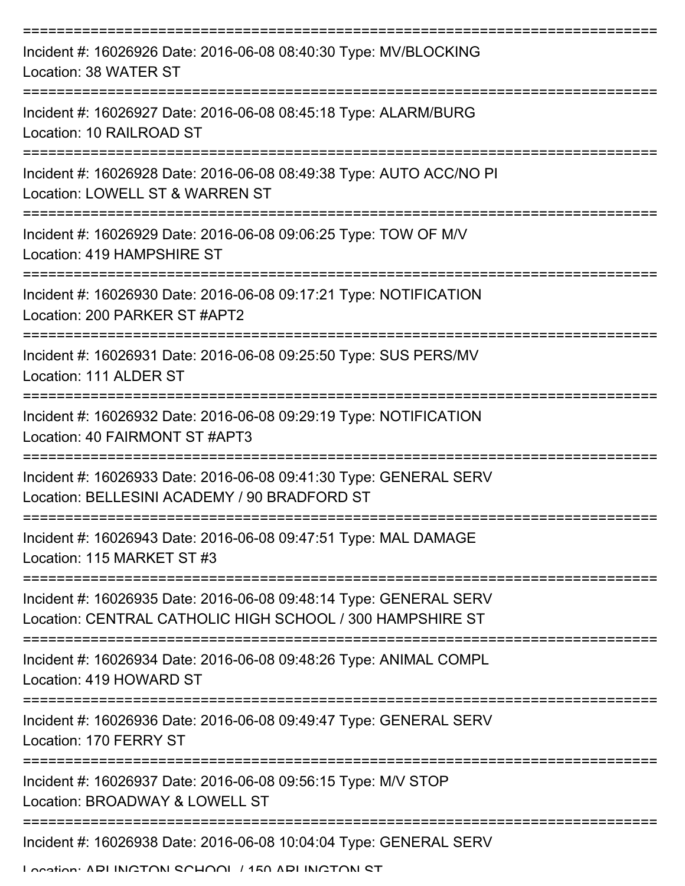| Incident #: 16026926 Date: 2016-06-08 08:40:30 Type: MV/BLOCKING<br>Location: 38 WATER ST                                      |
|--------------------------------------------------------------------------------------------------------------------------------|
| Incident #: 16026927 Date: 2016-06-08 08:45:18 Type: ALARM/BURG<br>Location: 10 RAILROAD ST                                    |
| Incident #: 16026928 Date: 2016-06-08 08:49:38 Type: AUTO ACC/NO PI<br>Location: LOWELL ST & WARREN ST                         |
| Incident #: 16026929 Date: 2016-06-08 09:06:25 Type: TOW OF M/V<br>Location: 419 HAMPSHIRE ST                                  |
| Incident #: 16026930 Date: 2016-06-08 09:17:21 Type: NOTIFICATION<br>Location: 200 PARKER ST #APT2                             |
| Incident #: 16026931 Date: 2016-06-08 09:25:50 Type: SUS PERS/MV<br>Location: 111 ALDER ST<br>==================               |
| Incident #: 16026932 Date: 2016-06-08 09:29:19 Type: NOTIFICATION<br>Location: 40 FAIRMONT ST #APT3                            |
| Incident #: 16026933 Date: 2016-06-08 09:41:30 Type: GENERAL SERV<br>Location: BELLESINI ACADEMY / 90 BRADFORD ST              |
| Incident #: 16026943 Date: 2016-06-08 09:47:51 Type: MAL DAMAGE<br>Location: 115 MARKET ST #3                                  |
| Incident #: 16026935 Date: 2016-06-08 09:48:14 Type: GENERAL SERV<br>Location: CENTRAL CATHOLIC HIGH SCHOOL / 300 HAMPSHIRE ST |
| Incident #: 16026934 Date: 2016-06-08 09:48:26 Type: ANIMAL COMPL<br>Location: 419 HOWARD ST                                   |
| Incident #: 16026936 Date: 2016-06-08 09:49:47 Type: GENERAL SERV<br>Location: 170 FERRY ST                                    |
| Incident #: 16026937 Date: 2016-06-08 09:56:15 Type: M/V STOP<br>Location: BROADWAY & LOWELL ST                                |
| Incident #: 16026938 Date: 2016-06-08 10:04:04 Type: GENERAL SERV                                                              |

Location: ADI INCTON SCHOOL / 150 ADI INCTON ST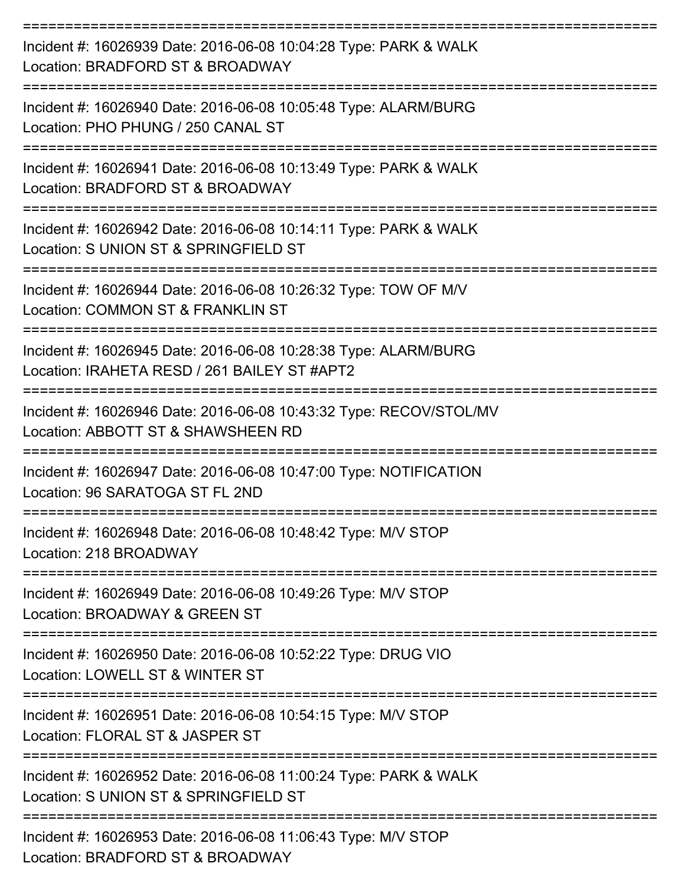| Incident #: 16026939 Date: 2016-06-08 10:04:28 Type: PARK & WALK<br>Location: BRADFORD ST & BROADWAY            |
|-----------------------------------------------------------------------------------------------------------------|
| Incident #: 16026940 Date: 2016-06-08 10:05:48 Type: ALARM/BURG<br>Location: PHO PHUNG / 250 CANAL ST           |
| Incident #: 16026941 Date: 2016-06-08 10:13:49 Type: PARK & WALK<br>Location: BRADFORD ST & BROADWAY            |
| Incident #: 16026942 Date: 2016-06-08 10:14:11 Type: PARK & WALK<br>Location: S UNION ST & SPRINGFIELD ST       |
| Incident #: 16026944 Date: 2016-06-08 10:26:32 Type: TOW OF M/V<br>Location: COMMON ST & FRANKLIN ST            |
| Incident #: 16026945 Date: 2016-06-08 10:28:38 Type: ALARM/BURG<br>Location: IRAHETA RESD / 261 BAILEY ST #APT2 |
| Incident #: 16026946 Date: 2016-06-08 10:43:32 Type: RECOV/STOL/MV<br>Location: ABBOTT ST & SHAWSHEEN RD        |
| Incident #: 16026947 Date: 2016-06-08 10:47:00 Type: NOTIFICATION<br>Location: 96 SARATOGA ST FL 2ND            |
| Incident #: 16026948 Date: 2016-06-08 10:48:42 Type: M/V STOP<br>Location: 218 BROADWAY                         |
| Incident #: 16026949 Date: 2016-06-08 10:49:26 Type: M/V STOP<br>Location: BROADWAY & GREEN ST                  |
| Incident #: 16026950 Date: 2016-06-08 10:52:22 Type: DRUG VIO<br>Location: LOWELL ST & WINTER ST                |
| Incident #: 16026951 Date: 2016-06-08 10:54:15 Type: M/V STOP<br>Location: FLORAL ST & JASPER ST                |
| Incident #: 16026952 Date: 2016-06-08 11:00:24 Type: PARK & WALK<br>Location: S UNION ST & SPRINGFIELD ST       |
| Incident #: 16026953 Date: 2016-06-08 11:06:43 Type: M/V STOP<br>Location: BRADFORD ST & BROADWAY               |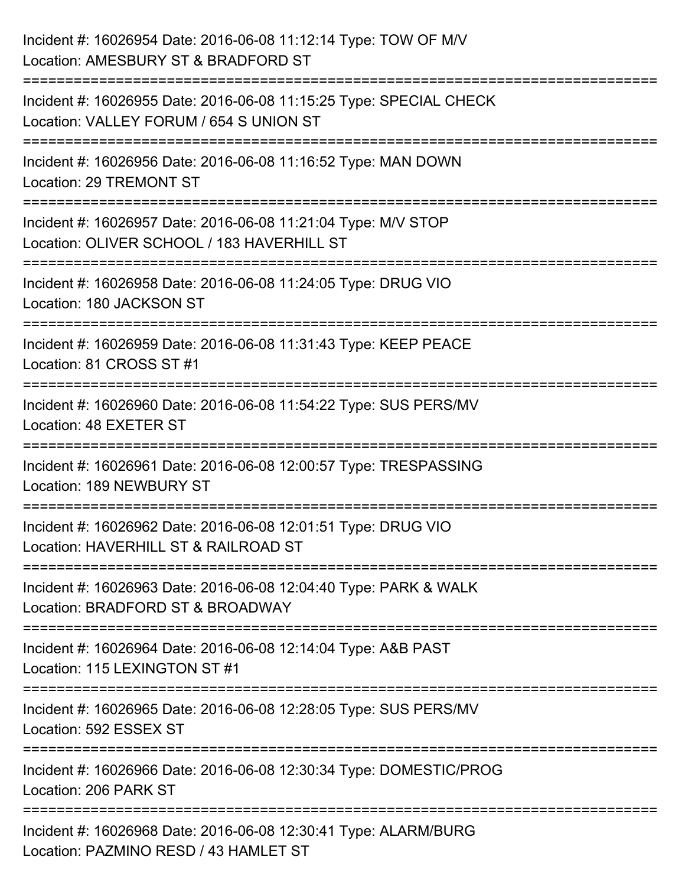| Incident #: 16026954 Date: 2016-06-08 11:12:14 Type: TOW OF M/V<br>Location: AMESBURY ST & BRADFORD ST                           |
|----------------------------------------------------------------------------------------------------------------------------------|
| Incident #: 16026955 Date: 2016-06-08 11:15:25 Type: SPECIAL CHECK<br>Location: VALLEY FORUM / 654 S UNION ST                    |
| Incident #: 16026956 Date: 2016-06-08 11:16:52 Type: MAN DOWN<br>Location: 29 TREMONT ST                                         |
| Incident #: 16026957 Date: 2016-06-08 11:21:04 Type: M/V STOP<br>Location: OLIVER SCHOOL / 183 HAVERHILL ST                      |
| Incident #: 16026958 Date: 2016-06-08 11:24:05 Type: DRUG VIO<br>Location: 180 JACKSON ST                                        |
| :================================<br>Incident #: 16026959 Date: 2016-06-08 11:31:43 Type: KEEP PEACE<br>Location: 81 CROSS ST #1 |
| Incident #: 16026960 Date: 2016-06-08 11:54:22 Type: SUS PERS/MV<br>Location: 48 EXETER ST                                       |
| Incident #: 16026961 Date: 2016-06-08 12:00:57 Type: TRESPASSING<br>Location: 189 NEWBURY ST                                     |
| Incident #: 16026962 Date: 2016-06-08 12:01:51 Type: DRUG VIO<br>Location: HAVERHILL ST & RAILROAD ST                            |
| Incident #: 16026963 Date: 2016-06-08 12:04:40 Type: PARK & WALK<br>Location: BRADFORD ST & BROADWAY                             |
| Incident #: 16026964 Date: 2016-06-08 12:14:04 Type: A&B PAST<br>Location: 115 LEXINGTON ST #1                                   |
| Incident #: 16026965 Date: 2016-06-08 12:28:05 Type: SUS PERS/MV<br>Location: 592 ESSEX ST                                       |
| Incident #: 16026966 Date: 2016-06-08 12:30:34 Type: DOMESTIC/PROG<br>Location: 206 PARK ST                                      |
| Incident #: 16026968 Date: 2016-06-08 12:30:41 Type: ALARM/BURG<br>Location: PAZMINO RESD / 43 HAMLET ST                         |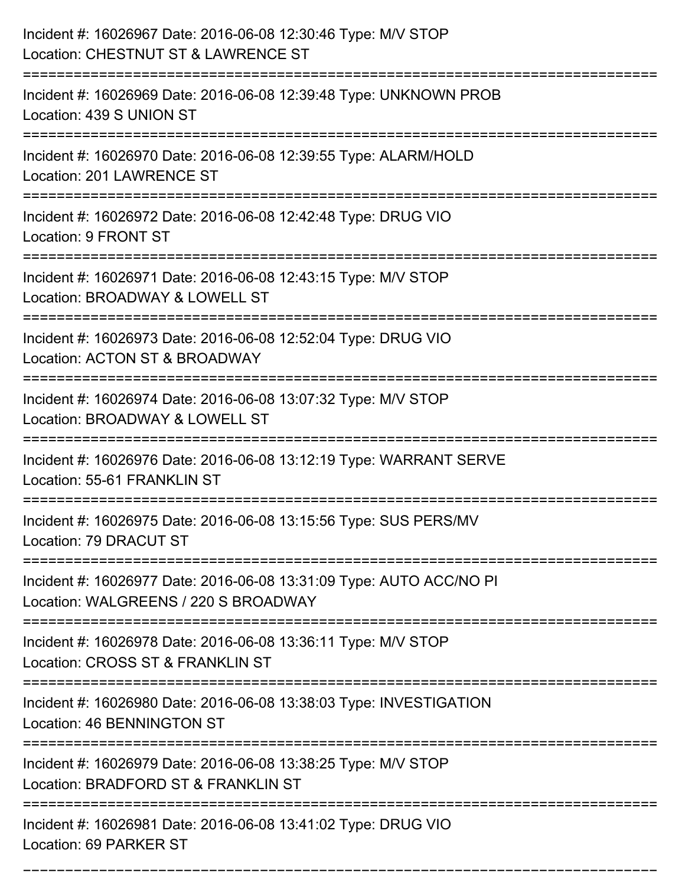| Incident #: 16026967 Date: 2016-06-08 12:30:46 Type: M/V STOP<br>Location: CHESTNUT ST & LAWRENCE ST               |
|--------------------------------------------------------------------------------------------------------------------|
| Incident #: 16026969 Date: 2016-06-08 12:39:48 Type: UNKNOWN PROB<br>Location: 439 S UNION ST                      |
| Incident #: 16026970 Date: 2016-06-08 12:39:55 Type: ALARM/HOLD<br>Location: 201 LAWRENCE ST<br>------------------ |
| Incident #: 16026972 Date: 2016-06-08 12:42:48 Type: DRUG VIO<br>Location: 9 FRONT ST                              |
| Incident #: 16026971 Date: 2016-06-08 12:43:15 Type: M/V STOP<br>Location: BROADWAY & LOWELL ST                    |
| Incident #: 16026973 Date: 2016-06-08 12:52:04 Type: DRUG VIO<br>Location: ACTON ST & BROADWAY                     |
| Incident #: 16026974 Date: 2016-06-08 13:07:32 Type: M/V STOP<br>Location: BROADWAY & LOWELL ST                    |
| Incident #: 16026976 Date: 2016-06-08 13:12:19 Type: WARRANT SERVE<br>Location: 55-61 FRANKLIN ST                  |
| Incident #: 16026975 Date: 2016-06-08 13:15:56 Type: SUS PERS/MV<br>Location: 79 DRACUT ST                         |
| Incident #: 16026977 Date: 2016-06-08 13:31:09 Type: AUTO ACC/NO PI<br>Location: WALGREENS / 220 S BROADWAY        |
| Incident #: 16026978 Date: 2016-06-08 13:36:11 Type: M/V STOP<br>Location: CROSS ST & FRANKLIN ST                  |
| Incident #: 16026980 Date: 2016-06-08 13:38:03 Type: INVESTIGATION<br>Location: 46 BENNINGTON ST                   |
| Incident #: 16026979 Date: 2016-06-08 13:38:25 Type: M/V STOP<br>Location: BRADFORD ST & FRANKLIN ST               |
| Incident #: 16026981 Date: 2016-06-08 13:41:02 Type: DRUG VIO<br>Location: 69 PARKER ST                            |

===========================================================================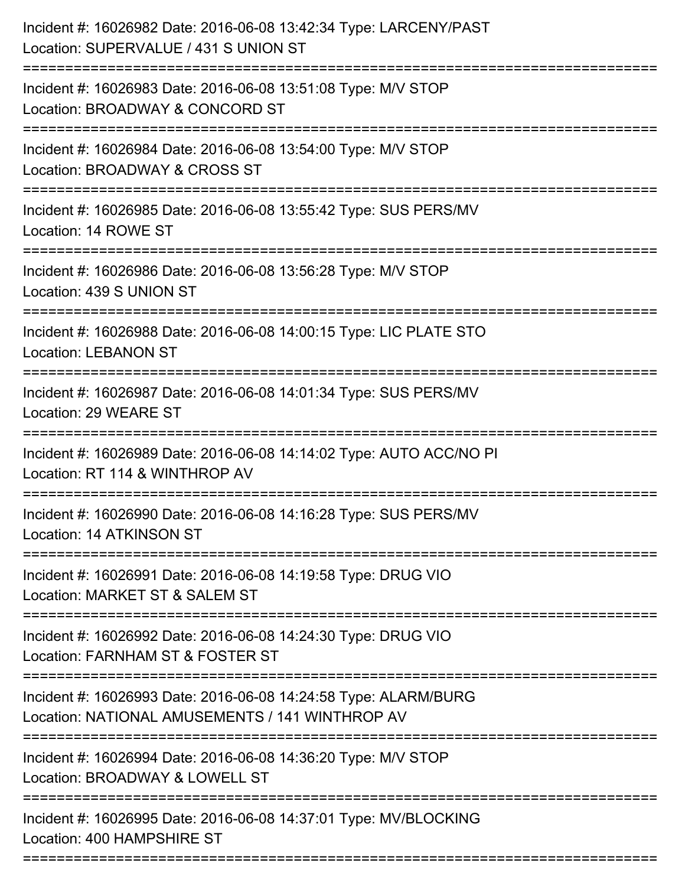| Incident #: 16026982 Date: 2016-06-08 13:42:34 Type: LARCENY/PAST<br>Location: SUPERVALUE / 431 S UNION ST<br>:============================= |
|----------------------------------------------------------------------------------------------------------------------------------------------|
| Incident #: 16026983 Date: 2016-06-08 13:51:08 Type: M/V STOP<br>Location: BROADWAY & CONCORD ST                                             |
| Incident #: 16026984 Date: 2016-06-08 13:54:00 Type: M/V STOP<br>Location: BROADWAY & CROSS ST                                               |
| Incident #: 16026985 Date: 2016-06-08 13:55:42 Type: SUS PERS/MV<br>Location: 14 ROWE ST                                                     |
| Incident #: 16026986 Date: 2016-06-08 13:56:28 Type: M/V STOP<br>Location: 439 S UNION ST<br>:================================               |
| Incident #: 16026988 Date: 2016-06-08 14:00:15 Type: LIC PLATE STO<br><b>Location: LEBANON ST</b>                                            |
| Incident #: 16026987 Date: 2016-06-08 14:01:34 Type: SUS PERS/MV<br>Location: 29 WEARE ST                                                    |
| Incident #: 16026989 Date: 2016-06-08 14:14:02 Type: AUTO ACC/NO PI<br>Location: RT 114 & WINTHROP AV                                        |
| Incident #: 16026990 Date: 2016-06-08 14:16:28 Type: SUS PERS/MV<br>Location: 14 ATKINSON ST                                                 |
| Incident #: 16026991 Date: 2016-06-08 14:19:58 Type: DRUG VIO<br>Location: MARKET ST & SALEM ST                                              |
| Incident #: 16026992 Date: 2016-06-08 14:24:30 Type: DRUG VIO<br>Location: FARNHAM ST & FOSTER ST                                            |
| Incident #: 16026993 Date: 2016-06-08 14:24:58 Type: ALARM/BURG<br>Location: NATIONAL AMUSEMENTS / 141 WINTHROP AV                           |
| Incident #: 16026994 Date: 2016-06-08 14:36:20 Type: M/V STOP<br>Location: BROADWAY & LOWELL ST                                              |
| Incident #: 16026995 Date: 2016-06-08 14:37:01 Type: MV/BLOCKING<br>Location: 400 HAMPSHIRE ST                                               |
|                                                                                                                                              |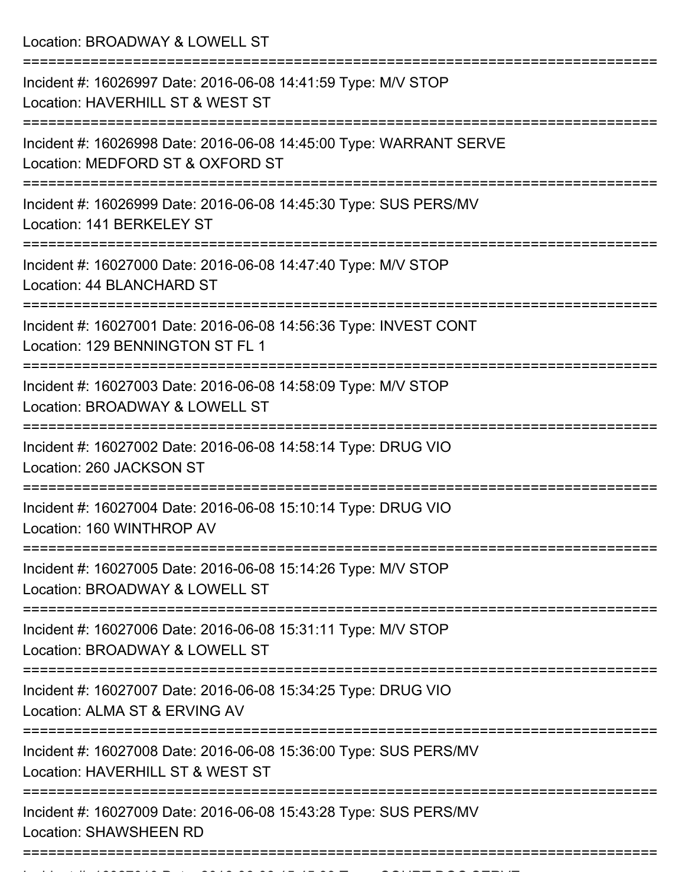Location: BROADWAY & LOWELL ST =========================================================================== Incident #: 16026997 Date: 2016-06-08 14:41:59 Type: M/V STOP Location: HAVERHILL ST & WEST ST =========================================================================== Incident #: 16026998 Date: 2016-06-08 14:45:00 Type: WARRANT SERVE Location: MEDFORD ST & OXFORD ST =========================================================================== Incident #: 16026999 Date: 2016-06-08 14:45:30 Type: SUS PERS/MV Location: 141 BERKELEY ST =========================================================================== Incident #: 16027000 Date: 2016-06-08 14:47:40 Type: M/V STOP Location: 44 BLANCHARD ST =========================================================================== Incident #: 16027001 Date: 2016-06-08 14:56:36 Type: INVEST CONT Location: 129 BENNINGTON ST FL 1 =========================================================================== Incident #: 16027003 Date: 2016-06-08 14:58:09 Type: M/V STOP Location: BROADWAY & LOWELL ST =========================================================================== Incident #: 16027002 Date: 2016-06-08 14:58:14 Type: DRUG VIO Location: 260 JACKSON ST =========================================================================== Incident #: 16027004 Date: 2016-06-08 15:10:14 Type: DRUG VIO Location: 160 WINTHROP AV =========================================================================== Incident #: 16027005 Date: 2016-06-08 15:14:26 Type: M/V STOP Location: BROADWAY & LOWELL ST =========================================================================== Incident #: 16027006 Date: 2016-06-08 15:31:11 Type: M/V STOP Location: BROADWAY & LOWELL ST =========================================================================== Incident #: 16027007 Date: 2016-06-08 15:34:25 Type: DRUG VIO Location: ALMA ST & ERVING AV =========================================================================== Incident #: 16027008 Date: 2016-06-08 15:36:00 Type: SUS PERS/MV Location: HAVERHILL ST & WEST ST =========================================================================== Incident #: 16027009 Date: 2016-06-08 15:43:28 Type: SUS PERS/MV Location: SHAWSHEEN RD ===========================================================================

Incident #: 16027010 Date: 2016 06 08 15:45:39 Type: COURT DOC SERVE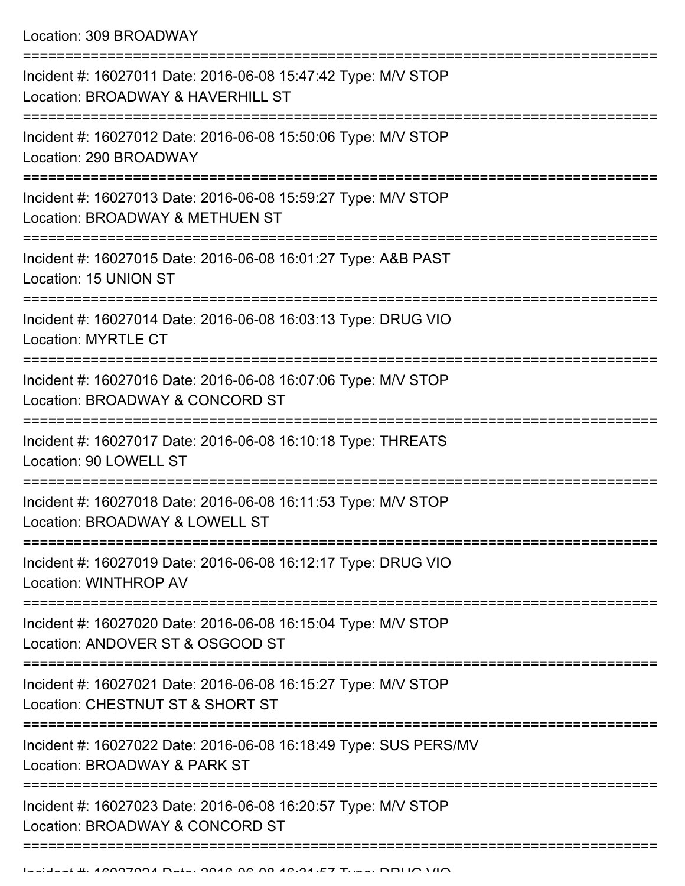| Incident #: 16027011 Date: 2016-06-08 15:47:42 Type: M/V STOP<br>Location: BROADWAY & HAVERHILL ST |
|----------------------------------------------------------------------------------------------------|
| Incident #: 16027012 Date: 2016-06-08 15:50:06 Type: M/V STOP<br>Location: 290 BROADWAY            |
| Incident #: 16027013 Date: 2016-06-08 15:59:27 Type: M/V STOP<br>Location: BROADWAY & METHUEN ST   |
| Incident #: 16027015 Date: 2016-06-08 16:01:27 Type: A&B PAST<br>Location: 15 UNION ST             |
| Incident #: 16027014 Date: 2016-06-08 16:03:13 Type: DRUG VIO<br><b>Location: MYRTLE CT</b>        |
| Incident #: 16027016 Date: 2016-06-08 16:07:06 Type: M/V STOP<br>Location: BROADWAY & CONCORD ST   |
| Incident #: 16027017 Date: 2016-06-08 16:10:18 Type: THREATS<br>Location: 90 LOWELL ST             |
| Incident #: 16027018 Date: 2016-06-08 16:11:53 Type: M/V STOP<br>Location: BROADWAY & LOWELL ST    |
| Incident #: 16027019 Date: 2016-06-08 16:12:17 Type: DRUG VIO<br>Location: WINTHROP AV             |
| Incident #: 16027020 Date: 2016-06-08 16:15:04 Type: M/V STOP<br>Location: ANDOVER ST & OSGOOD ST  |
| Incident #: 16027021 Date: 2016-06-08 16:15:27 Type: M/V STOP<br>Location: CHESTNUT ST & SHORT ST  |
| Incident #: 16027022 Date: 2016-06-08 16:18:49 Type: SUS PERS/MV<br>Location: BROADWAY & PARK ST   |
| Incident #: 16027023 Date: 2016-06-08 16:20:57 Type: M/V STOP<br>Location: BROADWAY & CONCORD ST   |
|                                                                                                    |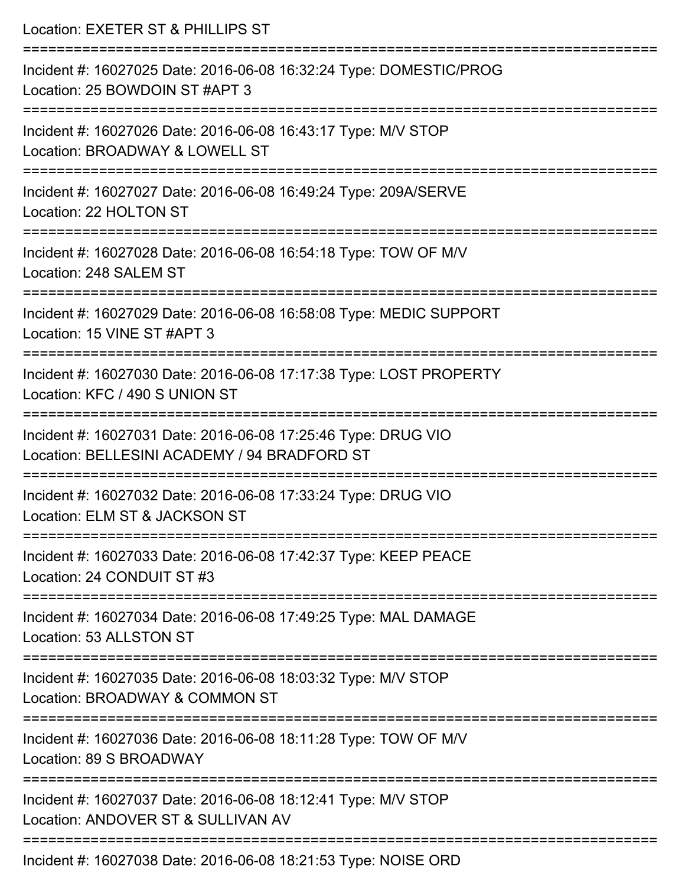| Location: EXETER ST & PHILLIPS ST                                                                                                 |
|-----------------------------------------------------------------------------------------------------------------------------------|
| Incident #: 16027025 Date: 2016-06-08 16:32:24 Type: DOMESTIC/PROG<br>Location: 25 BOWDOIN ST #APT 3                              |
| Incident #: 16027026 Date: 2016-06-08 16:43:17 Type: M/V STOP<br>Location: BROADWAY & LOWELL ST                                   |
| Incident #: 16027027 Date: 2016-06-08 16:49:24 Type: 209A/SERVE<br>Location: 22 HOLTON ST                                         |
| Incident #: 16027028 Date: 2016-06-08 16:54:18 Type: TOW OF M/V<br>Location: 248 SALEM ST                                         |
| Incident #: 16027029 Date: 2016-06-08 16:58:08 Type: MEDIC SUPPORT<br>Location: 15 VINE ST #APT 3                                 |
| Incident #: 16027030 Date: 2016-06-08 17:17:38 Type: LOST PROPERTY<br>Location: KFC / 490 S UNION ST                              |
| Incident #: 16027031 Date: 2016-06-08 17:25:46 Type: DRUG VIO<br>Location: BELLESINI ACADEMY / 94 BRADFORD ST                     |
| Incident #: 16027032 Date: 2016-06-08 17:33:24 Type: DRUG VIO<br>Location: ELM ST & JACKSON ST                                    |
| ================================<br>Incident #: 16027033 Date: 2016-06-08 17:42:37 Type: KEEP PEACE<br>Location: 24 CONDUIT ST #3 |
| Incident #: 16027034 Date: 2016-06-08 17:49:25 Type: MAL DAMAGE<br>Location: 53 ALLSTON ST                                        |
| Incident #: 16027035 Date: 2016-06-08 18:03:32 Type: M/V STOP<br>Location: BROADWAY & COMMON ST                                   |
| :2222222222222222222<br>Incident #: 16027036 Date: 2016-06-08 18:11:28 Type: TOW OF M/V<br>Location: 89 S BROADWAY                |
| Incident #: 16027037 Date: 2016-06-08 18:12:41 Type: M/V STOP<br>Location: ANDOVER ST & SULLIVAN AV                               |
| Incident #: 16027038 Date: 2016-06-08 18:21:53 Type: NOISE ORD                                                                    |

Incident #: 16027038 Date: 2016-06-08 18:21:53 Type: NOISE ORD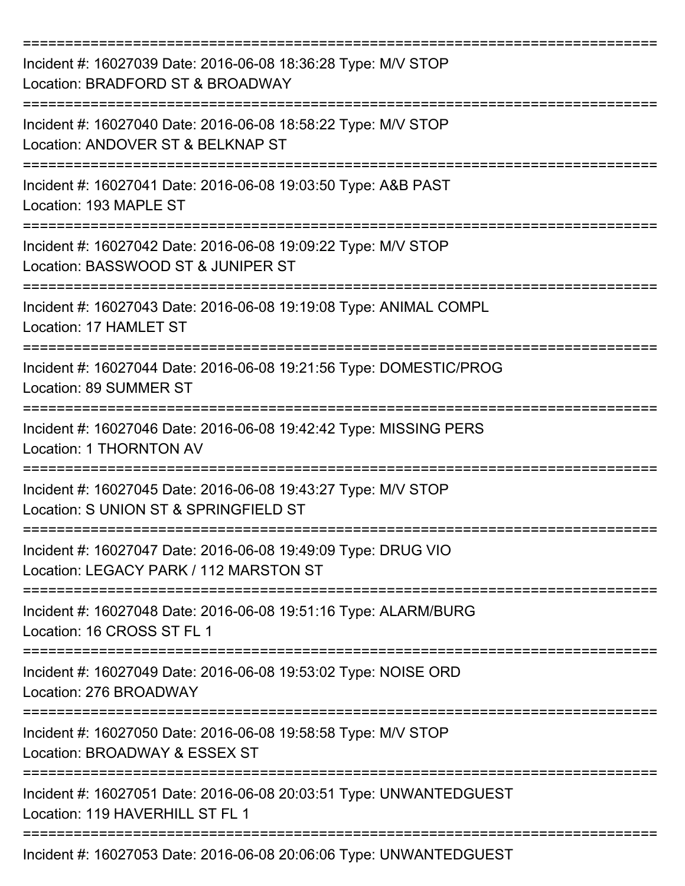| Incident #: 16027039 Date: 2016-06-08 18:36:28 Type: M/V STOP<br>Location: BRADFORD ST & BROADWAY              |
|----------------------------------------------------------------------------------------------------------------|
| Incident #: 16027040 Date: 2016-06-08 18:58:22 Type: M/V STOP<br>Location: ANDOVER ST & BELKNAP ST             |
| Incident #: 16027041 Date: 2016-06-08 19:03:50 Type: A&B PAST<br>Location: 193 MAPLE ST<br>:================== |
| Incident #: 16027042 Date: 2016-06-08 19:09:22 Type: M/V STOP<br>Location: BASSWOOD ST & JUNIPER ST            |
| Incident #: 16027043 Date: 2016-06-08 19:19:08 Type: ANIMAL COMPL<br>Location: 17 HAMLET ST                    |
| ==========<br>Incident #: 16027044 Date: 2016-06-08 19:21:56 Type: DOMESTIC/PROG<br>Location: 89 SUMMER ST     |
| Incident #: 16027046 Date: 2016-06-08 19:42:42 Type: MISSING PERS<br>Location: 1 THORNTON AV                   |
| Incident #: 16027045 Date: 2016-06-08 19:43:27 Type: M/V STOP<br>Location: S UNION ST & SPRINGFIELD ST         |
| Incident #: 16027047 Date: 2016-06-08 19:49:09 Type: DRUG VIO<br>Location: LEGACY PARK / 112 MARSTON ST        |
| Incident #: 16027048 Date: 2016-06-08 19:51:16 Type: ALARM/BURG<br>Location: 16 CROSS ST FL 1                  |
| Incident #: 16027049 Date: 2016-06-08 19:53:02 Type: NOISE ORD<br>Location: 276 BROADWAY                       |
| Incident #: 16027050 Date: 2016-06-08 19:58:58 Type: M/V STOP<br>Location: BROADWAY & ESSEX ST                 |
| Incident #: 16027051 Date: 2016-06-08 20:03:51 Type: UNWANTEDGUEST<br>Location: 119 HAVERHILL ST FL 1          |
| Incident #: 16027053 Date: 2016-06-08 20:06:06 Type: UNWANTEDGUEST                                             |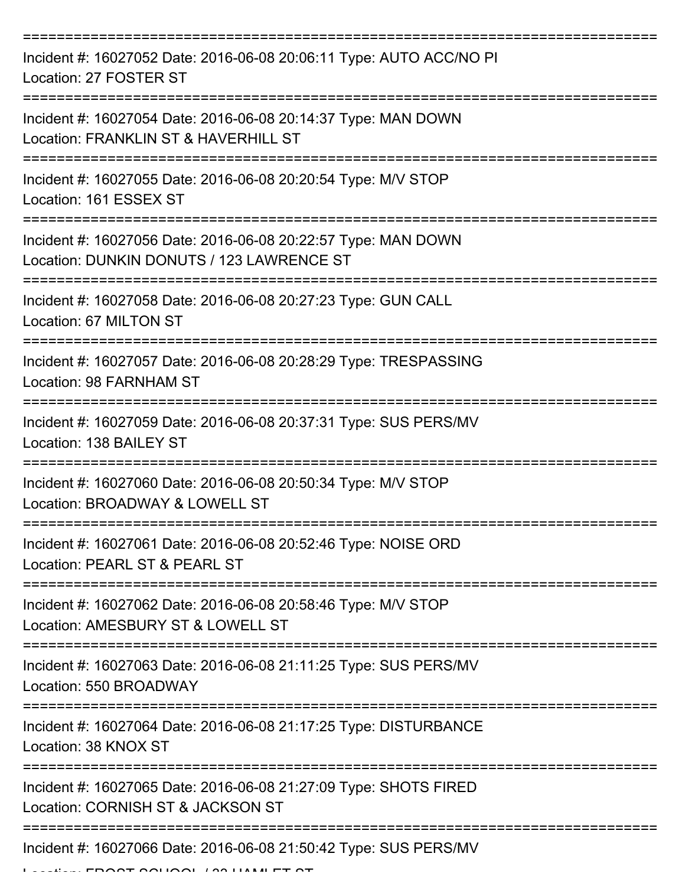| Incident #: 16027052 Date: 2016-06-08 20:06:11 Type: AUTO ACC/NO PI<br>Location: 27 FOSTER ST                          |
|------------------------------------------------------------------------------------------------------------------------|
| Incident #: 16027054 Date: 2016-06-08 20:14:37 Type: MAN DOWN<br>Location: FRANKLIN ST & HAVERHILL ST                  |
| Incident #: 16027055 Date: 2016-06-08 20:20:54 Type: M/V STOP<br>Location: 161 ESSEX ST                                |
| Incident #: 16027056 Date: 2016-06-08 20:22:57 Type: MAN DOWN<br>Location: DUNKIN DONUTS / 123 LAWRENCE ST             |
| Incident #: 16027058 Date: 2016-06-08 20:27:23 Type: GUN CALL<br>Location: 67 MILTON ST<br>=========================== |
| Incident #: 16027057 Date: 2016-06-08 20:28:29 Type: TRESPASSING<br>Location: 98 FARNHAM ST                            |
| Incident #: 16027059 Date: 2016-06-08 20:37:31 Type: SUS PERS/MV<br>Location: 138 BAILEY ST                            |
| Incident #: 16027060 Date: 2016-06-08 20:50:34 Type: M/V STOP<br>Location: BROADWAY & LOWELL ST                        |
| Incident #: 16027061 Date: 2016-06-08 20:52:46 Type: NOISE ORD<br>Location: PEARL ST & PEARL ST                        |
| Incident #: 16027062 Date: 2016-06-08 20:58:46 Type: M/V STOP<br>Location: AMESBURY ST & LOWELL ST                     |
| Incident #: 16027063 Date: 2016-06-08 21:11:25 Type: SUS PERS/MV<br>Location: 550 BROADWAY                             |
| Incident #: 16027064 Date: 2016-06-08 21:17:25 Type: DISTURBANCE<br>Location: 38 KNOX ST                               |
| Incident #: 16027065 Date: 2016-06-08 21:27:09 Type: SHOTS FIRED<br>Location: CORNISH ST & JACKSON ST                  |
| Incident #: 16027066 Date: 2016-06-08 21:50:42 Type: SUS PERS/MV                                                       |